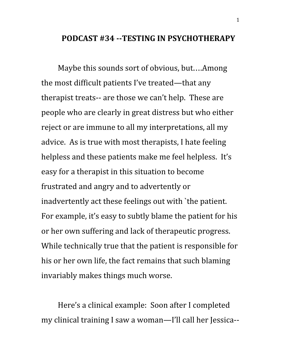## **PODCAST #34 --TESTING IN PSYCHOTHERAPY**

Maybe this sounds sort of obvious, but….Among the most difficult patients I've treated—that any therapist treats-- are those we can't help. These are people who are clearly in great distress but who either reject or are immune to all my interpretations, all my advice. As is true with most therapists, I hate feeling helpless and these patients make me feel helpless. It's easy for a therapist in this situation to become frustrated and angry and to advertently or inadvertently act these feelings out with `the patient. For example, it's easy to subtly blame the patient for his or her own suffering and lack of therapeutic progress. While technically true that the patient is responsible for his or her own life, the fact remains that such blaming invariably makes things much worse.

Here's a clinical example: Soon after I completed my clinical training I saw a woman—I'll call her Jessica--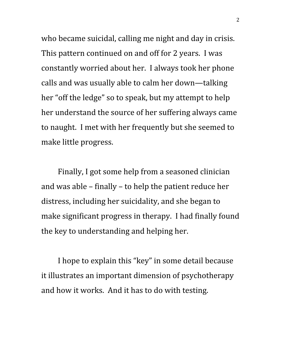who became suicidal, calling me night and day in crisis. This pattern continued on and off for 2 years. I was constantly worried about her. I always took her phone calls and was usually able to calm her down—talking her "off the ledge" so to speak, but my attempt to help her understand the source of her suffering always came to naught. I met with her frequently but she seemed to make little progress.

Finally, I got some help from a seasoned clinician and was able – finally – to help the patient reduce her distress, including her suicidality, and she began to make significant progress in therapy. I had finally found the key to understanding and helping her.

I hope to explain this "key" in some detail because it illustrates an important dimension of psychotherapy and how it works. And it has to do with testing.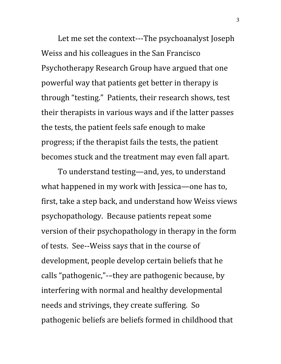Let me set the context---The psychoanalyst Joseph Weiss and his colleagues in the San Francisco Psychotherapy Research Group have argued that one powerful way that patients get better in therapy is through "testing." Patients, their research shows, test their therapists in various ways and if the latter passes the tests, the patient feels safe enough to make progress; if the therapist fails the tests, the patient becomes stuck and the treatment may even fall apart.

To understand testing—and, yes, to understand what happened in my work with Jessica—one has to, first, take a step back, and understand how Weiss views psychopathology. Because patients repeat some version of their psychopathology in therapy in the form of tests. See--Weiss says that in the course of development, people develop certain beliefs that he calls "pathogenic,"-–they are pathogenic because, by interfering with normal and healthy developmental needs and strivings, they create suffering. So pathogenic beliefs are beliefs formed in childhood that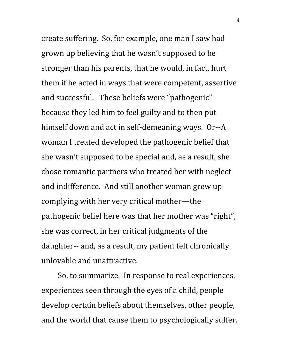create suffering. So, for example, one man I saw had grown up believing that he wasn't supposed to be stronger than his parents, that he would, in fact, hurt them if he acted in ways that were competent, assertive and successful. These beliefs were "pathogenic" because they led him to feel guilty and to then put himself down and act in self-demeaning ways. Or--A woman I treated developed the pathogenic belief that she wasn't supposed to be special and, as a result, she chose romantic partners who treated her with neglect and indifference. And still another woman grew up complying with her very critical mother—the pathogenic belief here was that her mother was "right", she was correct, in her critical judgments of the daughter-- and, as a result, my patient felt chronically unlovable and unattractive.

So, to summarize. In response to real experiences, experiences seen through the eyes of a child, people develop certain beliefs about themselves, other people, and the world that cause them to psychologically suffer.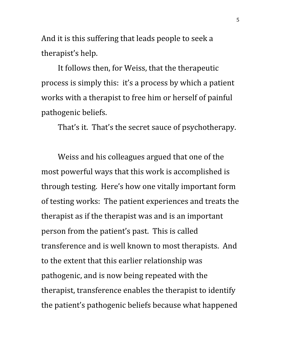And it is this suffering that leads people to seek a therapist's help.

It follows then, for Weiss, that the therapeutic process is simply this: it's a process by which a patient works with a therapist to free him or herself of painful pathogenic beliefs.

That's it. That's the secret sauce of psychotherapy.

Weiss and his colleagues argued that one of the most powerful ways that this work is accomplished is through testing. Here's how one vitally important form of testing works: The patient experiences and treats the therapist as if the therapist was and is an important person from the patient's past. This is called transference and is well known to most therapists. And to the extent that this earlier relationship was pathogenic, and is now being repeated with the therapist, transference enables the therapist to identify the patient's pathogenic beliefs because what happened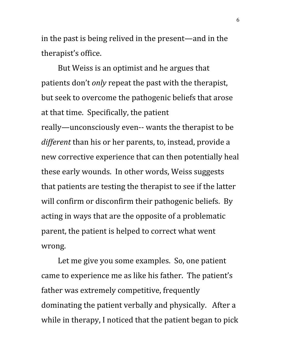in the past is being relived in the present—and in the therapist's office.

But Weiss is an optimist and he argues that patients don't *only* repeat the past with the therapist, but seek to overcome the pathogenic beliefs that arose at that time. Specifically, the patient really—unconsciously even-- wants the therapist to be *different* than his or her parents, to, instead, provide a new corrective experience that can then potentially heal these early wounds. In other words, Weiss suggests that patients are testing the therapist to see if the latter will confirm or disconfirm their pathogenic beliefs. By acting in ways that are the opposite of a problematic parent, the patient is helped to correct what went wrong.

Let me give you some examples. So, one patient came to experience me as like his father. The patient's father was extremely competitive, frequently dominating the patient verbally and physically. After a while in therapy, I noticed that the patient began to pick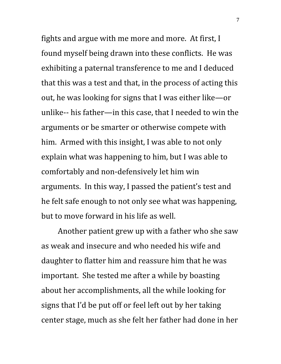fights and argue with me more and more. At first, I found myself being drawn into these conflicts. He was exhibiting a paternal transference to me and I deduced that this was a test and that, in the process of acting this out, he was looking for signs that I was either like—or unlike-- his father—in this case, that I needed to win the arguments or be smarter or otherwise compete with him. Armed with this insight, I was able to not only explain what was happening to him, but I was able to comfortably and non-defensively let him win arguments. In this way, I passed the patient's test and he felt safe enough to not only see what was happening, but to move forward in his life as well.

Another patient grew up with a father who she saw as weak and insecure and who needed his wife and daughter to flatter him and reassure him that he was important. She tested me after a while by boasting about her accomplishments, all the while looking for signs that I'd be put off or feel left out by her taking center stage, much as she felt her father had done in her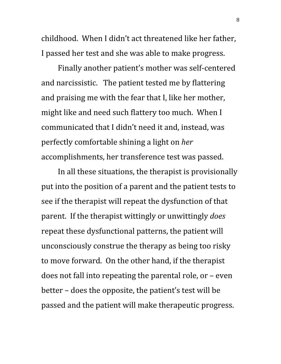childhood. When I didn't act threatened like her father, I passed her test and she was able to make progress.

Finally another patient's mother was self-centered and narcissistic. The patient tested me by flattering and praising me with the fear that I, like her mother, might like and need such flattery too much. When I communicated that I didn't need it and, instead, was perfectly comfortable shining a light on *her* accomplishments, her transference test was passed.

In all these situations, the therapist is provisionally put into the position of a parent and the patient tests to see if the therapist will repeat the dysfunction of that parent. If the therapist wittingly or unwittingly *does* repeat these dysfunctional patterns, the patient will unconsciously construe the therapy as being too risky to move forward. On the other hand, if the therapist does not fall into repeating the parental role, or – even better – does the opposite, the patient's test will be passed and the patient will make therapeutic progress.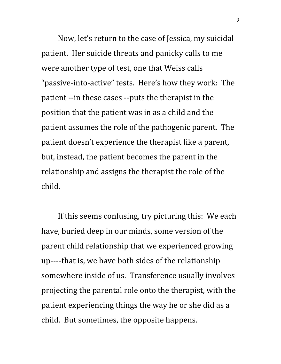Now, let's return to the case of Jessica, my suicidal patient. Her suicide threats and panicky calls to me were another type of test, one that Weiss calls "passive-into-active" tests. Here's how they work: The patient --in these cases --puts the therapist in the position that the patient was in as a child and the patient assumes the role of the pathogenic parent. The patient doesn't experience the therapist like a parent, but, instead, the patient becomes the parent in the relationship and assigns the therapist the role of the child.

If this seems confusing, try picturing this: We each have, buried deep in our minds, some version of the parent child relationship that we experienced growing up----that is, we have both sides of the relationship somewhere inside of us. Transference usually involves projecting the parental role onto the therapist, with the patient experiencing things the way he or she did as a child. But sometimes, the opposite happens.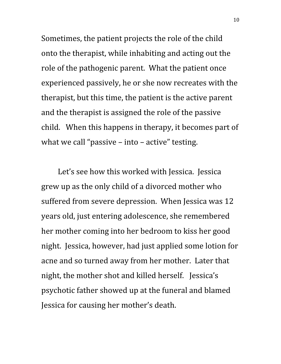Sometimes, the patient projects the role of the child onto the therapist, while inhabiting and acting out the role of the pathogenic parent. What the patient once experienced passively, he or she now recreates with the therapist, but this time, the patient is the active parent and the therapist is assigned the role of the passive child. When this happens in therapy, it becomes part of what we call "passive – into – active" testing.

Let's see how this worked with Jessica. Jessica grew up as the only child of a divorced mother who suffered from severe depression. When Jessica was 12 years old, just entering adolescence, she remembered her mother coming into her bedroom to kiss her good night. Jessica, however, had just applied some lotion for acne and so turned away from her mother. Later that night, the mother shot and killed herself. Jessica's psychotic father showed up at the funeral and blamed Jessica for causing her mother's death.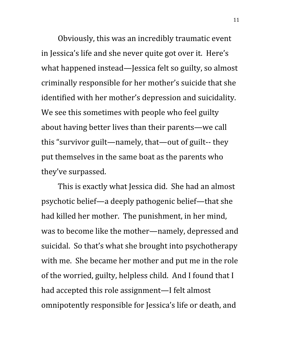Obviously, this was an incredibly traumatic event in Jessica's life and she never quite got over it. Here's what happened instead—Jessica felt so guilty, so almost criminally responsible for her mother's suicide that she identified with her mother's depression and suicidality. We see this sometimes with people who feel guilty about having better lives than their parents—we call this "survivor guilt—namely, that—out of guilt-- they put themselves in the same boat as the parents who they've surpassed.

This is exactly what Jessica did. She had an almost psychotic belief—a deeply pathogenic belief—that she had killed her mother. The punishment, in her mind, was to become like the mother—namely, depressed and suicidal. So that's what she brought into psychotherapy with me. She became her mother and put me in the role of the worried, guilty, helpless child. And I found that I had accepted this role assignment—I felt almost omnipotently responsible for Jessica's life or death, and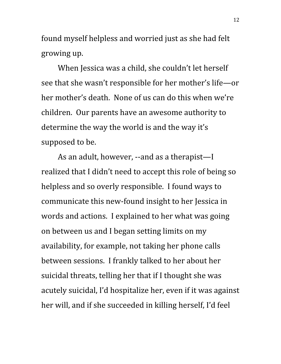found myself helpless and worried just as she had felt growing up.

When Jessica was a child, she couldn't let herself see that she wasn't responsible for her mother's life—or her mother's death. None of us can do this when we're children. Our parents have an awesome authority to determine the way the world is and the way it's supposed to be.

As an adult, however, --and as a therapist—I realized that I didn't need to accept this role of being so helpless and so overly responsible. I found ways to communicate this new-found insight to her Jessica in words and actions. I explained to her what was going on between us and I began setting limits on my availability, for example, not taking her phone calls between sessions. I frankly talked to her about her suicidal threats, telling her that if I thought she was acutely suicidal, I'd hospitalize her, even if it was against her will, and if she succeeded in killing herself, I'd feel